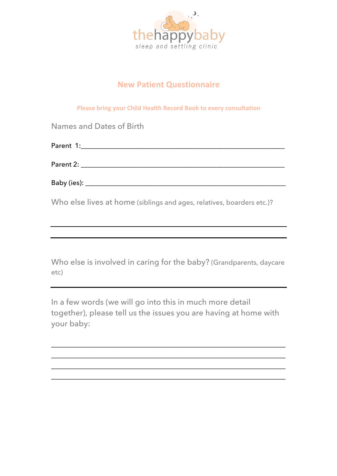

## **New Patient Questionnaire**

**Please bring your Child Health Record Book to every consultation** 

| Names and Dates of Birth                                              |
|-----------------------------------------------------------------------|
|                                                                       |
|                                                                       |
|                                                                       |
| Who else lives at home (siblings and ages, relatives, boarders etc.)? |

Who else is involved in caring for the baby? (Grandparents, daycare etc)

In a few words (we will go into this in much more detail together), please tell us the issues you are having at home with your baby:

\_\_\_\_\_\_\_\_\_\_\_\_\_\_\_\_\_\_\_\_\_\_\_\_\_\_\_\_\_\_\_\_\_\_\_\_\_\_\_\_\_\_\_\_\_\_\_\_\_\_\_\_\_\_\_\_\_\_\_\_\_\_\_\_\_\_\_\_\_ \_\_\_\_\_\_\_\_\_\_\_\_\_\_\_\_\_\_\_\_\_\_\_\_\_\_\_\_\_\_\_\_\_\_\_\_\_\_\_\_\_\_\_\_\_\_\_\_\_\_\_\_\_\_\_\_\_\_\_\_\_\_\_\_\_\_\_\_\_ \_\_\_\_\_\_\_\_\_\_\_\_\_\_\_\_\_\_\_\_\_\_\_\_\_\_\_\_\_\_\_\_\_\_\_\_\_\_\_\_\_\_\_\_\_\_\_\_\_\_\_\_\_\_\_\_\_\_\_\_\_\_\_\_\_\_\_\_\_ \_\_\_\_\_\_\_\_\_\_\_\_\_\_\_\_\_\_\_\_\_\_\_\_\_\_\_\_\_\_\_\_\_\_\_\_\_\_\_\_\_\_\_\_\_\_\_\_\_\_\_\_\_\_\_\_\_\_\_\_\_\_\_\_\_\_\_\_\_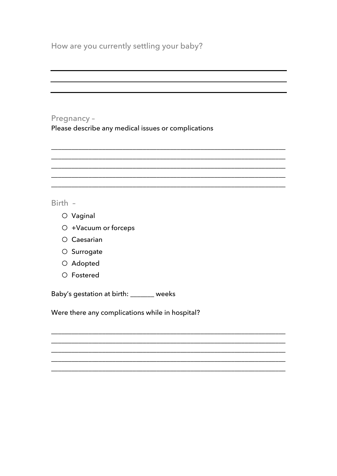## Pregnancy -

Please describe any medical issues or complications

## Birth -

- O Vaginal
- O +Vacuum or forceps
- O Caesarian
- O Surrogate
- O Adopted
- O Fostered

Baby's gestation at birth: \_\_\_\_\_\_ weeks

Were there any complications while in hospital?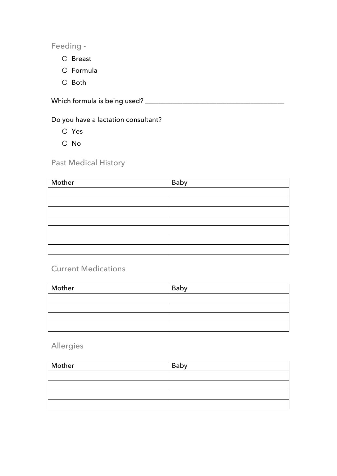Feeding -

- o Breast
- o Formula
- o Both

Which formula is being used? \_\_\_\_\_\_\_\_\_\_\_\_\_\_\_\_\_\_\_\_\_\_\_\_\_\_\_\_\_\_\_\_\_\_\_\_\_\_\_\_\_

Do you have a lactation consultant?

o Yes

o No

Past Medical History

| Mother | Baby |
|--------|------|
|        |      |
|        |      |
|        |      |
|        |      |
|        |      |
|        |      |
|        |      |

## Current Medications

| Mother | Baby |
|--------|------|
|        |      |
|        |      |
|        |      |
|        |      |

Allergies

| Mother | Baby |
|--------|------|
|        |      |
|        |      |
|        |      |
|        |      |